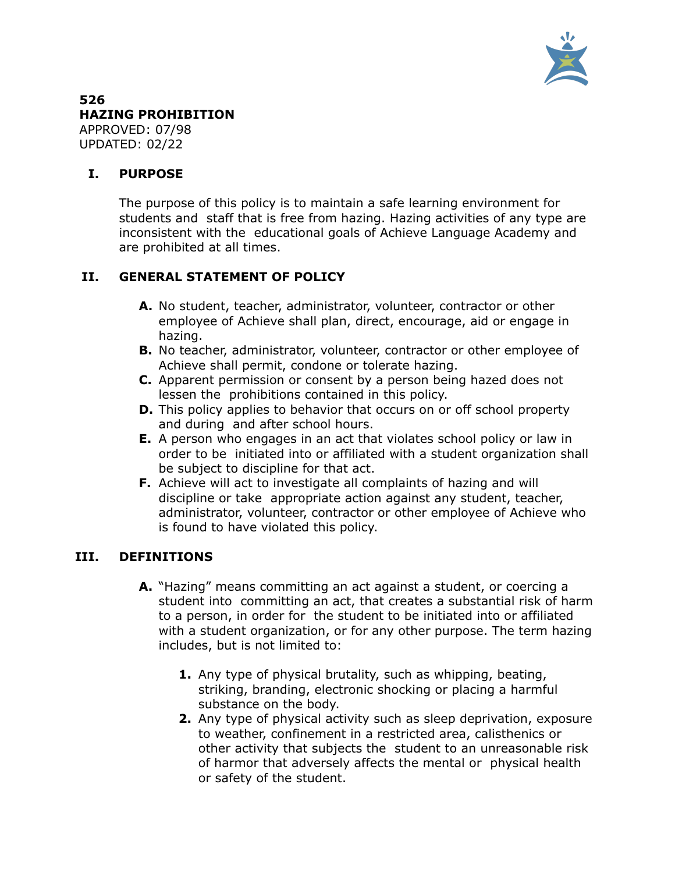

#### **526 HAZING PROHIBITION** APPROVED: 07/98 UPDATED: 02/22

## **I. PURPOSE**

The purpose of this policy is to maintain a safe learning environment for students and staff that is free from hazing. Hazing activities of any type are inconsistent with the educational goals of Achieve Language Academy and are prohibited at all times.

# **II. GENERAL STATEMENT OF POLICY**

- **A.** No student, teacher, administrator, volunteer, contractor or other employee of Achieve shall plan, direct, encourage, aid or engage in hazing.
- **B.** No teacher, administrator, volunteer, contractor or other employee of Achieve shall permit, condone or tolerate hazing.
- **C.** Apparent permission or consent by a person being hazed does not lessen the prohibitions contained in this policy.
- **D.** This policy applies to behavior that occurs on or off school property and during and after school hours.
- **E.** A person who engages in an act that violates school policy or law in order to be initiated into or affiliated with a student organization shall be subject to discipline for that act.
- **F.** Achieve will act to investigate all complaints of hazing and will discipline or take appropriate action against any student, teacher, administrator, volunteer, contractor or other employee of Achieve who is found to have violated this policy.

## **III. DEFINITIONS**

- **A.** "Hazing" means committing an act against a student, or coercing a student into committing an act, that creates a substantial risk of harm to a person, in order for the student to be initiated into or affiliated with a student organization, or for any other purpose. The term hazing includes, but is not limited to:
	- **1.** Any type of physical brutality, such as whipping, beating, striking, branding, electronic shocking or placing a harmful substance on the body.
	- **2.** Any type of physical activity such as sleep deprivation, exposure to weather, confinement in a restricted area, calisthenics or other activity that subjects the student to an unreasonable risk of harmor that adversely affects the mental or physical health or safety of the student.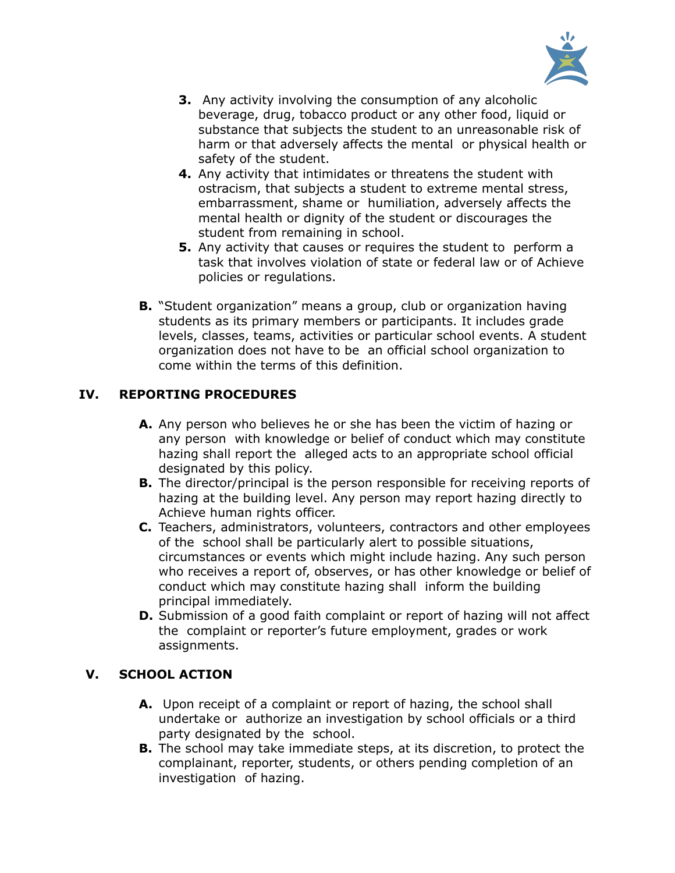

- **3.** Any activity involving the consumption of any alcoholic beverage, drug, tobacco product or any other food, liquid or substance that subjects the student to an unreasonable risk of harm or that adversely affects the mental or physical health or safety of the student.
- **4.** Any activity that intimidates or threatens the student with ostracism, that subjects a student to extreme mental stress, embarrassment, shame or humiliation, adversely affects the mental health or dignity of the student or discourages the student from remaining in school.
- **5.** Any activity that causes or requires the student to perform a task that involves violation of state or federal law or of Achieve policies or regulations.
- **B.** "Student organization" means a group, club or organization having students as its primary members or participants. It includes grade levels, classes, teams, activities or particular school events. A student organization does not have to be an official school organization to come within the terms of this definition.

# **IV. REPORTING PROCEDURES**

- **A.** Any person who believes he or she has been the victim of hazing or any person with knowledge or belief of conduct which may constitute hazing shall report the alleged acts to an appropriate school official designated by this policy.
- **B.** The director/principal is the person responsible for receiving reports of hazing at the building level. Any person may report hazing directly to Achieve human rights officer.
- **C.** Teachers, administrators, volunteers, contractors and other employees of the school shall be particularly alert to possible situations, circumstances or events which might include hazing. Any such person who receives a report of, observes, or has other knowledge or belief of conduct which may constitute hazing shall inform the building principal immediately.
- **D.** Submission of a good faith complaint or report of hazing will not affect the complaint or reporter's future employment, grades or work assignments.

## **V. SCHOOL ACTION**

- **A.** Upon receipt of a complaint or report of hazing, the school shall undertake or authorize an investigation by school officials or a third party designated by the school.
- **B.** The school may take immediate steps, at its discretion, to protect the complainant, reporter, students, or others pending completion of an investigation of hazing.